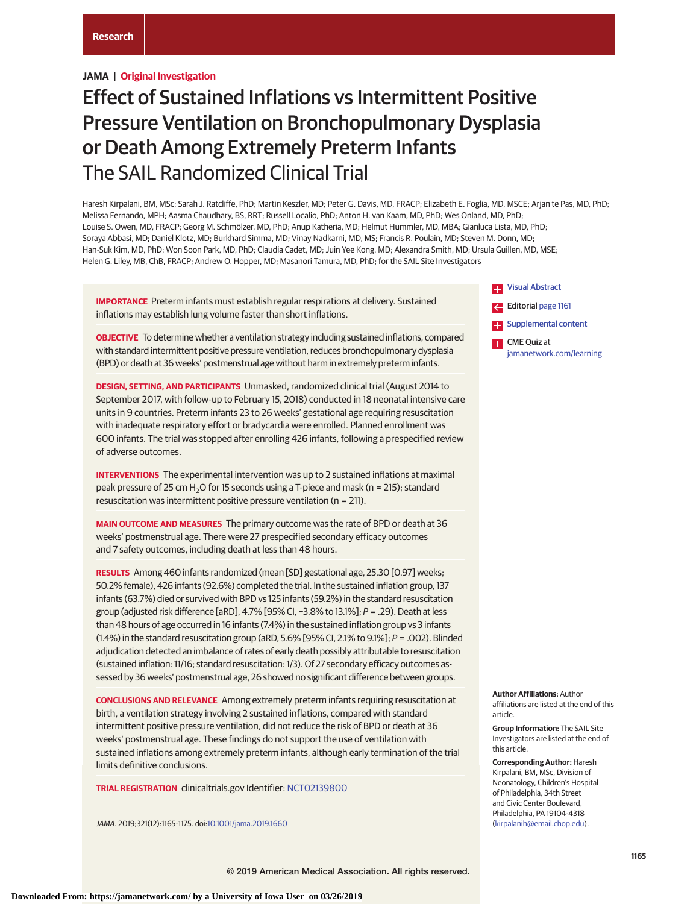# **JAMA | Original Investigation**

# Effect of Sustained Inflations vs Intermittent Positive Pressure Ventilation on Bronchopulmonary Dysplasia or Death Among Extremely Preterm Infants The SAIL Randomized Clinical Trial

Haresh Kirpalani, BM, MSc; Sarah J. Ratcliffe, PhD; Martin Keszler, MD; Peter G. Davis, MD, FRACP; Elizabeth E. Foglia, MD, MSCE; Arjan te Pas, MD, PhD; Melissa Fernando, MPH; Aasma Chaudhary, BS, RRT; Russell Localio, PhD; Anton H. van Kaam, MD, PhD; Wes Onland, MD, PhD; Louise S. Owen, MD, FRACP; Georg M. Schmölzer, MD, PhD; Anup Katheria, MD; Helmut Hummler, MD, MBA; Gianluca Lista, MD, PhD; Soraya Abbasi, MD; Daniel Klotz, MD; Burkhard Simma, MD; Vinay Nadkarni, MD, MS; Francis R. Poulain, MD; Steven M. Donn, MD; Han-Suk Kim, MD, PhD; Won Soon Park, MD, PhD; Claudia Cadet, MD; Juin Yee Kong, MD; Alexandra Smith, MD; Ursula Guillen, MD, MSE; Helen G. Liley, MB, ChB, FRACP; Andrew O. Hopper, MD; Masanori Tamura, MD, PhD; for the SAIL Site Investigators

**IMPORTANCE** Preterm infants must establish regular respirations at delivery. Sustained inflations may establish lung volume faster than short inflations.

**OBJECTIVE** To determine whether a ventilation strategy including sustained inflations, compared with standard intermittent positive pressure ventilation, reduces bronchopulmonary dysplasia (BPD) or death at 36 weeks' postmenstrual age without harm in extremely preterm infants.

**DESIGN, SETTING, AND PARTICIPANTS** Unmasked, randomized clinical trial (August 2014 to September 2017, with follow-up to February 15, 2018) conducted in 18 neonatal intensive care units in 9 countries. Preterm infants 23 to 26 weeks' gestational age requiring resuscitation with inadequate respiratory effort or bradycardia were enrolled. Planned enrollment was 600 infants. The trial was stopped after enrolling 426 infants, following a prespecified review of adverse outcomes.

**INTERVENTIONS** The experimental intervention was up to 2 sustained inflations at maximal peak pressure of 25 cm H<sub>2</sub>O for 15 seconds using a T-piece and mask (n = 215); standard resuscitation was intermittent positive pressure ventilation (n = 211).

**MAIN OUTCOME AND MEASURES** The primary outcome was the rate of BPD or death at 36 weeks' postmenstrual age. There were 27 prespecified secondary efficacy outcomes and 7 safety outcomes, including death at less than 48 hours.

**RESULTS** Among 460 infants randomized (mean [SD] gestational age, 25.30 [0.97] weeks; 50.2% female), 426 infants (92.6%) completed the trial. In the sustained inflation group, 137 infants (63.7%) died or survived with BPD vs 125 infants (59.2%) in the standard resuscitation group (adjusted risk difference [aRD], 4.7% [95% CI, −3.8% to 13.1%]; P = .29). Death at less than 48 hours of age occurred in 16 infants (7.4%) in the sustained inflation group vs 3 infants (1.4%) in the standard resuscitation group (aRD, 5.6% [95% CI, 2.1% to 9.1%]; P = .002). Blinded adjudication detected an imbalance of rates of early death possibly attributable to resuscitation (sustained inflation: 11/16; standard resuscitation: 1/3). Of 27 secondary efficacy outcomes assessed by 36 weeks' postmenstrual age, 26 showed no significant difference between groups.

**CONCLUSIONS AND RELEVANCE** Among extremely preterm infants requiring resuscitation at birth, a ventilation strategy involving 2 sustained inflations, compared with standard intermittent positive pressure ventilation, did not reduce the risk of BPD or death at 36 weeks' postmenstrual age. These findings do not support the use of ventilation with sustained inflations among extremely preterm infants, although early termination of the trial limits definitive conclusions.

**TRIAL REGISTRATION** clinicaltrials.gov Identifier: [NCT02139800](https://clinicaltrials.gov/ct2/show/NCT02139800)

JAMA. 2019;321(12):1165-1175. doi[:10.1001/jama.2019.1660](https://jama.jamanetwork.com/article.aspx?doi=10.1001/jama.2019.1660&utm_campaign=articlePDF%26utm_medium=articlePDFlink%26utm_source=articlePDF%26utm_content=jama.2019.1660)



**Author Affiliations:** Author affiliations are listed at the end of this article.

**Group Information:** The SAIL Site Investigators are listed at the end of this article.

**Corresponding Author:** Haresh Kirpalani, BM, MSc, Division of Neonatology, Children's Hospital of Philadelphia, 34th Street and Civic Center Boulevard, Philadelphia, PA 19104-4318 [\(kirpalanih@email.chop.edu\)](mailto:kirpalanih@email.chop.edu).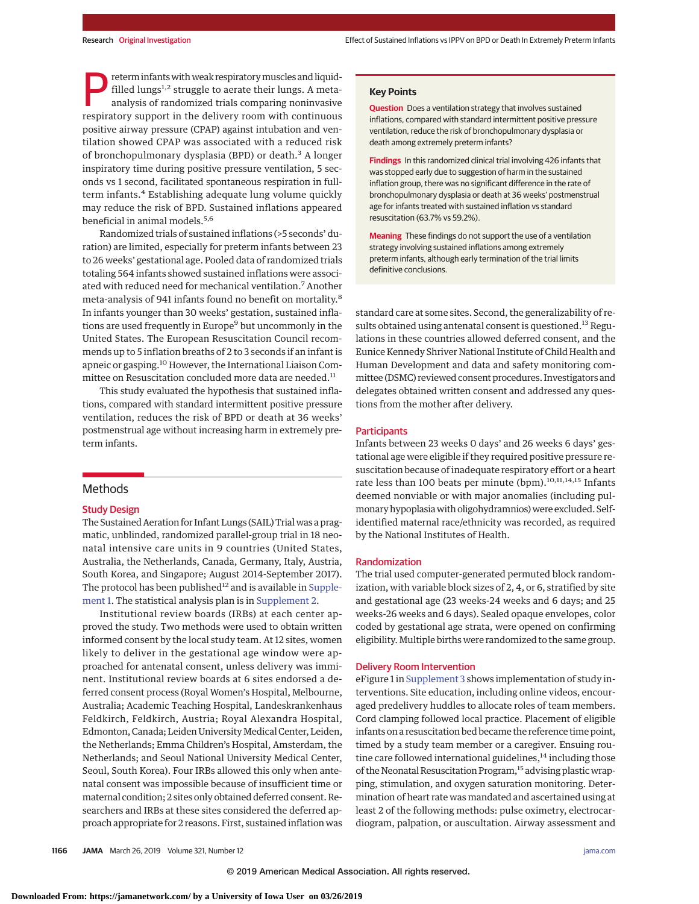Preterm infants with weak respiratory muscles and liquid-<br>filled lungs<sup>1,2</sup> struggle to aerate their lungs. A meta-<br>analysis of randomized trials comparing noninvasive<br>respiratory support in the dolivery room with continuo filled lungs<sup>1,2</sup> struggle to aerate their lungs. A metaanalysis of randomized trials comparing noninvasive respiratory support in the delivery room with continuous positive airway pressure (CPAP) against intubation and ventilation showed CPAP was associated with a reduced risk of bronchopulmonary dysplasia (BPD) or death.<sup>3</sup> A longer inspiratory time during positive pressure ventilation, 5 seconds vs 1 second, facilitated spontaneous respiration in fullterm infants.<sup>4</sup> Establishing adequate lung volume quickly may reduce the risk of BPD. Sustained inflations appeared beneficial in animal models.<sup>5,6</sup>

Randomized trials of sustained inflations (>5 seconds' duration) are limited, especially for preterm infants between 23 to 26 weeks' gestational age. Pooled data of randomized trials totaling 564 infants showed sustained inflations were associated with reduced need for mechanical ventilation.7 Another meta-analysis of 941 infants found no benefit on mortality.<sup>8</sup> In infants younger than 30 weeks' gestation, sustained inflations are used frequently in Europe<sup>9</sup> but uncommonly in the United States. The European Resuscitation Council recommends up to 5 inflation breaths of 2 to 3 seconds if an infant is apneic or gasping.<sup>10</sup> However, the International Liaison Committee on Resuscitation concluded more data are needed.<sup>11</sup>

This study evaluated the hypothesis that sustained inflations, compared with standard intermittent positive pressure ventilation, reduces the risk of BPD or death at 36 weeks' postmenstrual age without increasing harm in extremely preterm infants.

# Methods

#### Study Design

The Sustained Aeration for Infant Lungs (SAIL) Trial was a pragmatic, unblinded, randomized parallel-group trial in 18 neonatal intensive care units in 9 countries (United States, Australia, the Netherlands, Canada, Germany, Italy, Austria, South Korea, and Singapore; August 2014-September 2017). The protocol has been published<sup>12</sup> and is available in [Supple](https://jama.jamanetwork.com/article.aspx?doi=10.1001/jama.2019.1660&utm_campaign=articlePDF%26utm_medium=articlePDFlink%26utm_source=articlePDF%26utm_content=jama.2019.1660)[ment 1.](https://jama.jamanetwork.com/article.aspx?doi=10.1001/jama.2019.1660&utm_campaign=articlePDF%26utm_medium=articlePDFlink%26utm_source=articlePDF%26utm_content=jama.2019.1660) The statistical analysis plan is in [Supplement 2.](https://jama.jamanetwork.com/article.aspx?doi=10.1001/jama.2019.1660&utm_campaign=articlePDF%26utm_medium=articlePDFlink%26utm_source=articlePDF%26utm_content=jama.2019.1660)

Institutional review boards (IRBs) at each center approved the study. Two methods were used to obtain written informed consent by the local study team. At 12 sites, women likely to deliver in the gestational age window were approached for antenatal consent, unless delivery was imminent. Institutional review boards at 6 sites endorsed a deferred consent process (Royal Women's Hospital, Melbourne, Australia; Academic Teaching Hospital, Landeskrankenhaus Feldkirch, Feldkirch, Austria; Royal Alexandra Hospital, Edmonton, Canada; Leiden University Medical Center, Leiden, the Netherlands; Emma Children's Hospital, Amsterdam, the Netherlands; and Seoul National University Medical Center, Seoul, South Korea). Four IRBs allowed this only when antenatal consent was impossible because of insufficient time or maternal condition; 2 sites only obtained deferred consent. Researchers and IRBs at these sites considered the deferred approach appropriate for 2 reasons. First, sustained inflation was

# **Key Points**

**Question** Does a ventilation strategy that involves sustained inflations, compared with standard intermittent positive pressure ventilation, reduce the risk of bronchopulmonary dysplasia or death among extremely preterm infants?

**Findings** In this randomized clinical trial involving 426 infants that was stopped early due to suggestion of harm in the sustained inflation group, there was no significant difference in the rate of bronchopulmonary dysplasia or death at 36 weeks' postmenstrual age for infants treated with sustained inflation vs standard resuscitation (63.7% vs 59.2%).

**Meaning** These findings do not support the use of a ventilation strategy involving sustained inflations among extremely preterm infants, although early termination of the trial limits definitive conclusions.

standard care at some sites. Second, the generalizability of results obtained using antenatal consent is questioned.<sup>13</sup> Regulations in these countries allowed deferred consent, and the Eunice Kennedy Shriver National Institute of Child Health and Human Development and data and safety monitoring committee (DSMC) reviewed consent procedures. Investigators and delegates obtained written consent and addressed any questions from the mother after delivery.

#### **Participants**

Infants between 23 weeks 0 days' and 26 weeks 6 days' gestational age were eligible if they required positive pressure resuscitation because of inadequate respiratory effort or a heart rate less than 100 beats per minute (bpm).<sup>10,11,14,15</sup> Infants deemed nonviable or with major anomalies (including pulmonary hypoplasia with oligohydramnios) were excluded. Selfidentified maternal race/ethnicity was recorded, as required by the National Institutes of Health.

# Randomization

The trial used computer-generated permuted block randomization, with variable block sizes of 2, 4, or 6, stratified by site and gestational age (23 weeks-24 weeks and 6 days; and 25 weeks-26 weeks and 6 days). Sealed opaque envelopes, color coded by gestational age strata, were opened on confirming eligibility. Multiple births were randomized to the same group.

#### Delivery Room Intervention

eFigure 1 in [Supplement 3](https://jama.jamanetwork.com/article.aspx?doi=10.1001/jama.2019.1660&utm_campaign=articlePDF%26utm_medium=articlePDFlink%26utm_source=articlePDF%26utm_content=jama.2019.1660) shows implementation of study interventions. Site education, including online videos, encouraged predelivery huddles to allocate roles of team members. Cord clamping followed local practice. Placement of eligible infants on a resuscitation bed became the reference time point, timed by a study team member or a caregiver. Ensuing routine care followed international guidelines, $14$  including those of the Neonatal Resuscitation Program,<sup>15</sup> advising plastic wrapping, stimulation, and oxygen saturation monitoring. Determination of heart rate was mandated and ascertained using at least 2 of the following methods: pulse oximetry, electrocardiogram, palpation, or auscultation. Airway assessment and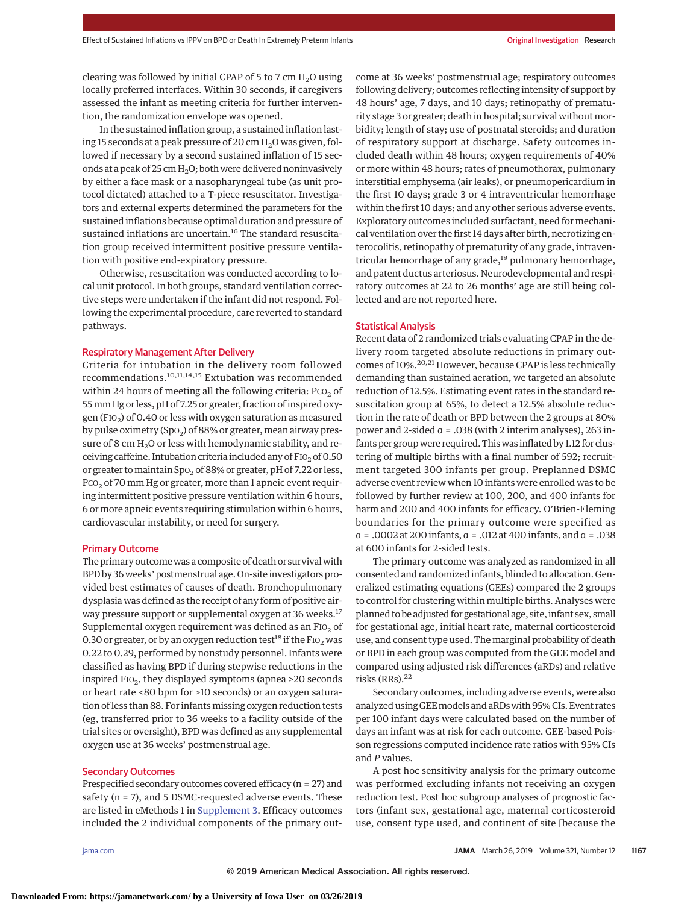clearing was followed by initial CPAP of 5 to 7 cm  $H_2O$  using locally preferred interfaces. Within 30 seconds, if caregivers assessed the infant as meeting criteria for further intervention, the randomization envelope was opened.

In the sustained inflation group, a sustained inflation lasting 15 seconds at a peak pressure of 20 cm  $H_2O$  was given, followed if necessary by a second sustained inflation of 15 seconds at a peak of 25 cm  $H_2O$ ; both were delivered noninvasively by either a face mask or a nasopharyngeal tube (as unit protocol dictated) attached to a T-piece resuscitator. Investigators and external experts determined the parameters for the sustained inflations because optimal duration and pressure of sustained inflations are uncertain.<sup>16</sup> The standard resuscitation group received intermittent positive pressure ventilation with positive end-expiratory pressure.

Otherwise, resuscitation was conducted according to local unit protocol. In both groups, standard ventilation corrective steps were undertaken if the infant did not respond. Following the experimental procedure, care reverted to standard pathways.

#### Respiratory Management After Delivery

Criteria for intubation in the delivery room followed recommendations.10,11,14,15 Extubation was recommended within 24 hours of meeting all the following criteria:  $PCO<sub>2</sub>$  of 55mm Hg or less, pH of 7.25 or greater, fraction of inspired oxygen (FIO<sub>2</sub>) of 0.40 or less with oxygen saturation as measured by pulse oximetry (SpO<sub>2</sub>) of 88% or greater, mean airway pressure of 8 cm  $H_2O$  or less with hemodynamic stability, and receiving caffeine. Intubation criteria included any of FIO<sub>2</sub> of 0.50 or greater to maintain Spo<sub>2</sub> of 88% or greater, pH of 7.22 or less,  $PCO<sub>2</sub>$  of 70 mm Hg or greater, more than 1 apneic event requiring intermittent positive pressure ventilation within 6 hours, 6 or more apneic events requiring stimulation within 6 hours, cardiovascular instability, or need for surgery.

#### Primary Outcome

The primary outcome was a composite of death or survival with BPD by 36 weeks' postmenstrual age. On-site investigators provided best estimates of causes of death. Bronchopulmonary dysplasia was defined as the receipt of any form of positive airway pressure support or supplemental oxygen at 36 weeks.<sup>17</sup> Supplemental oxygen requirement was defined as an  $F10<sub>2</sub>$  of 0.30 or greater, or by an oxygen reduction test<sup>18</sup> if the FIO<sub>2</sub> was 0.22 to 0.29, performed by nonstudy personnel. Infants were classified as having BPD if during stepwise reductions in the inspired  $FIO_2$ , they displayed symptoms (apnea >20 seconds or heart rate <80 bpm for >10 seconds) or an oxygen saturation of less than 88. For infants missing oxygen reduction tests (eg, transferred prior to 36 weeks to a facility outside of the trial sites or oversight), BPD was defined as any supplemental oxygen use at 36 weeks' postmenstrual age.

## Secondary Outcomes

Prespecified secondary outcomes covered efficacy (n = 27) and safety (n = 7), and 5 DSMC-requested adverse events. These are listed in eMethods 1 in [Supplement 3.](https://jama.jamanetwork.com/article.aspx?doi=10.1001/jama.2019.1660&utm_campaign=articlePDF%26utm_medium=articlePDFlink%26utm_source=articlePDF%26utm_content=jama.2019.1660) Efficacy outcomes included the 2 individual components of the primary outcome at 36 weeks' postmenstrual age; respiratory outcomes following delivery; outcomes reflecting intensity of support by 48 hours' age, 7 days, and 10 days; retinopathy of prematurity stage 3 or greater; death in hospital; survival without morbidity; length of stay; use of postnatal steroids; and duration of respiratory support at discharge. Safety outcomes included death within 48 hours; oxygen requirements of 40% or more within 48 hours; rates of pneumothorax, pulmonary interstitial emphysema (air leaks), or pneumopericardium in the first 10 days; grade 3 or 4 intraventricular hemorrhage within the first 10 days; and any other serious adverse events. Exploratory outcomes included surfactant, need for mechanical ventilation over the first 14 days after birth, necrotizing enterocolitis, retinopathy of prematurity of any grade, intraventricular hemorrhage of any grade,<sup>19</sup> pulmonary hemorrhage, and patent ductus arteriosus. Neurodevelopmental and respiratory outcomes at 22 to 26 months' age are still being collected and are not reported here.

# Statistical Analysis

Recent data of 2 randomized trials evaluating CPAP in the delivery room targeted absolute reductions in primary outcomes of 10%.<sup>20,21</sup> However, because CPAP is less technically demanding than sustained aeration, we targeted an absolute reduction of 12.5%. Estimating event rates in the standard resuscitation group at 65%, to detect a 12.5% absolute reduction in the rate of death or BPD between the 2 groups at 80% power and 2-sided α = .038 (with 2 interim analyses), 263 infants per group were required. This was inflated by 1.12 for clustering of multiple births with a final number of 592; recruitment targeted 300 infants per group. Preplanned DSMC adverse event review when 10 infants were enrolled was to be followed by further review at 100, 200, and 400 infants for harm and 200 and 400 infants for efficacy. O'Brien-Fleming boundaries for the primary outcome were specified as α = .0002 at 200 infants, α = .012 at 400 infants, and α = .038 at 600 infants for 2-sided tests.

The primary outcome was analyzed as randomized in all consented and randomized infants, blinded to allocation. Generalized estimating equations (GEEs) compared the 2 groups to control for clustering within multiple births. Analyses were planned to be adjusted for gestational age, site, infant sex, small for gestational age, initial heart rate, maternal corticosteroid use, and consent type used. The marginal probability of death or BPD in each group was computed from the GEE model and compared using adjusted risk differences (aRDs) and relative risks (RRs).<sup>22</sup>

Secondary outcomes, including adverse events, were also analyzed using GEEmodels and aRDs with 95% CIs. Event rates per 100 infant days were calculated based on the number of days an infant was at risk for each outcome. GEE-based Poisson regressions computed incidence rate ratios with 95% CIs and *P* values.

A post hoc sensitivity analysis for the primary outcome was performed excluding infants not receiving an oxygen reduction test. Post hoc subgroup analyses of prognostic factors (infant sex, gestational age, maternal corticosteroid use, consent type used, and continent of site [because the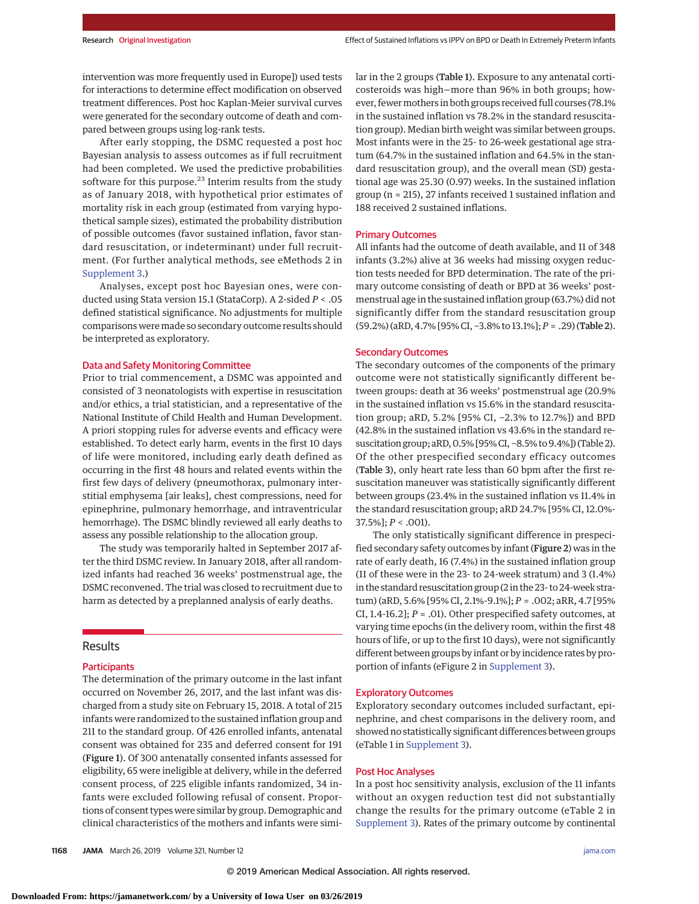intervention was more frequently used in Europe]) used tests for interactions to determine effect modification on observed treatment differences. Post hoc Kaplan-Meier survival curves were generated for the secondary outcome of death and compared between groups using log-rank tests.

After early stopping, the DSMC requested a post hoc Bayesian analysis to assess outcomes as if full recruitment had been completed. We used the predictive probabilities software for this purpose.<sup>23</sup> Interim results from the study as of January 2018, with hypothetical prior estimates of mortality risk in each group (estimated from varying hypothetical sample sizes), estimated the probability distribution of possible outcomes (favor sustained inflation, favor standard resuscitation, or indeterminant) under full recruitment. (For further analytical methods, see eMethods 2 in [Supplement 3.](https://jama.jamanetwork.com/article.aspx?doi=10.1001/jama.2019.1660&utm_campaign=articlePDF%26utm_medium=articlePDFlink%26utm_source=articlePDF%26utm_content=jama.2019.1660))

Analyses, except post hoc Bayesian ones, were conducted using Stata version 15.1 (StataCorp). A 2-sided *P* < .05 defined statistical significance. No adjustments for multiple comparisons were made so secondary outcome results should be interpreted as exploratory.

# Data and Safety Monitoring Committee

Prior to trial commencement, a DSMC was appointed and consisted of 3 neonatologists with expertise in resuscitation and/or ethics, a trial statistician, and a representative of the National Institute of Child Health and Human Development. A priori stopping rules for adverse events and efficacy were established. To detect early harm, events in the first 10 days of life were monitored, including early death defined as occurring in the first 48 hours and related events within the first few days of delivery (pneumothorax, pulmonary interstitial emphysema [air leaks], chest compressions, need for epinephrine, pulmonary hemorrhage, and intraventricular hemorrhage). The DSMC blindly reviewed all early deaths to assess any possible relationship to the allocation group.

The study was temporarily halted in September 2017 after the third DSMC review. In January 2018, after all randomized infants had reached 36 weeks' postmenstrual age, the DSMC reconvened. The trial was closed to recruitment due to harm as detected by a preplanned analysis of early deaths.

# Results

## **Participants**

The determination of the primary outcome in the last infant occurred on November 26, 2017, and the last infant was discharged from a study site on February 15, 2018. A total of 215 infants were randomized to the sustained inflation group and 211 to the standard group. Of 426 enrolled infants, antenatal consent was obtained for 235 and deferred consent for 191 (Figure 1). Of 300 antenatally consented infants assessed for eligibility, 65 were ineligible at delivery, while in the deferred consent process, of 225 eligible infants randomized, 34 infants were excluded following refusal of consent. Proportions of consent types were similar by group. Demographic and clinical characteristics of the mothers and infants were similar in the 2 groups (Table 1). Exposure to any antenatal corticosteroids was high—more than 96% in both groups; however, fewer mothers in both groups received full courses (78.1% in the sustained inflation vs 78.2% in the standard resuscitation group). Median birth weight was similar between groups. Most infants were in the 25- to 26-week gestational age stratum (64.7% in the sustained inflation and 64.5% in the standard resuscitation group), and the overall mean (SD) gestational age was 25.30 (0.97) weeks. In the sustained inflation group (n = 215), 27 infants received 1 sustained inflation and 188 received 2 sustained inflations.

#### Primary Outcomes

All infants had the outcome of death available, and 11 of 348 infants (3.2%) alive at 36 weeks had missing oxygen reduction tests needed for BPD determination. The rate of the primary outcome consisting of death or BPD at 36 weeks' postmenstrual age in the sustained inflation group (63.7%) did not significantly differ from the standard resuscitation group (59.2%) (aRD, 4.7% [95% CI, −3.8% to 13.1%]; *P* = .29) (Table 2).

# Secondary Outcomes

The secondary outcomes of the components of the primary outcome were not statistically significantly different between groups: death at 36 weeks' postmenstrual age (20.9% in the sustained inflation vs 15.6% in the standard resuscitation group; aRD, 5.2% [95% CI, −2.3% to 12.7%]) and BPD (42.8% in the sustained inflation vs 43.6% in the standard resuscitation group; aRD, 0.5% [95% CI, −8.5% to 9.4%]) (Table 2). Of the other prespecified secondary efficacy outcomes (Table 3), only heart rate less than 60 bpm after the first resuscitation maneuver was statistically significantly different between groups (23.4% in the sustained inflation vs 11.4% in the standard resuscitation group; aRD 24.7% [95% CI, 12.0%- 37.5%]; *P* < .001).

The only statistically significant difference in prespecified secondary safety outcomes by infant (Figure 2) was in the rate of early death, 16 (7.4%) in the sustained inflation group (11 of these were in the 23- to 24-week stratum) and 3 (1.4%) in the standard resuscitation group (2 in the 23- to 24-week stratum) (aRD, 5.6% [95% CI, 2.1%-9.1%]; *P* = .002; aRR, 4.7 [95% CI, 1.4-16.2]; *P* = .01). Other prespecified safety outcomes, at varying time epochs (in the delivery room, within the first 48 hours of life, or up to the first 10 days), were not significantly different between groups by infant or by incidence rates by proportion of infants (eFigure 2 in [Supplement 3\)](https://jama.jamanetwork.com/article.aspx?doi=10.1001/jama.2019.1660&utm_campaign=articlePDF%26utm_medium=articlePDFlink%26utm_source=articlePDF%26utm_content=jama.2019.1660).

# Exploratory Outcomes

Exploratory secondary outcomes included surfactant, epinephrine, and chest comparisons in the delivery room, and showed no statistically significant differences between groups (eTable 1 in [Supplement 3\)](https://jama.jamanetwork.com/article.aspx?doi=10.1001/jama.2019.1660&utm_campaign=articlePDF%26utm_medium=articlePDFlink%26utm_source=articlePDF%26utm_content=jama.2019.1660).

## Post Hoc Analyses

In a post hoc sensitivity analysis, exclusion of the 11 infants without an oxygen reduction test did not substantially change the results for the primary outcome (eTable 2 in [Supplement 3\)](https://jama.jamanetwork.com/article.aspx?doi=10.1001/jama.2019.1660&utm_campaign=articlePDF%26utm_medium=articlePDFlink%26utm_source=articlePDF%26utm_content=jama.2019.1660). Rates of the primary outcome by continental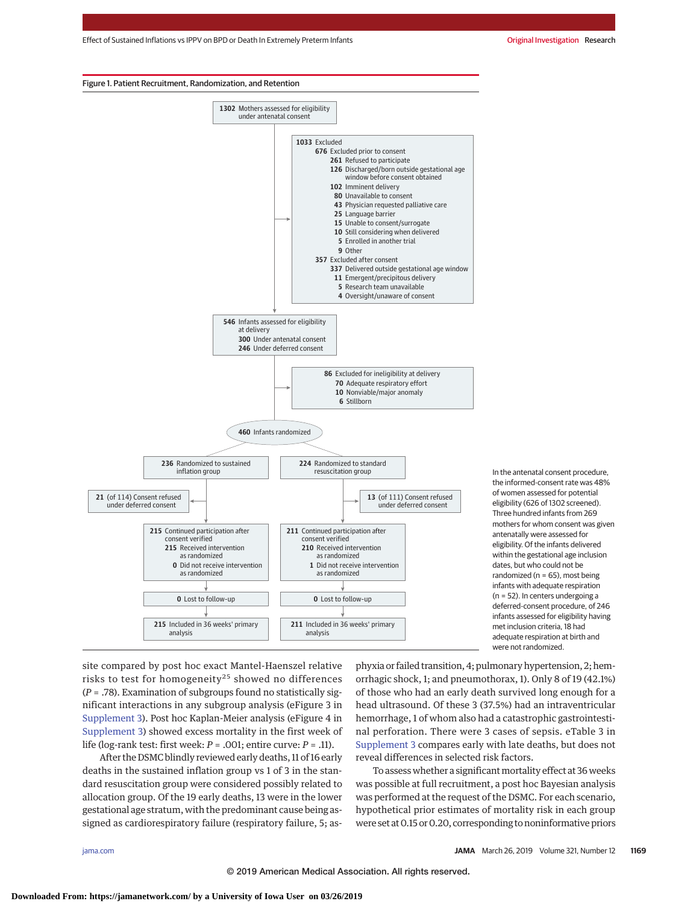Effect of Sustained Inflations vs IPPV on BPD or Death In Extremely Preterm Infants Communisty Communisty Criginal Investigation Research

#### Figure 1. Patient Recruitment, Randomization, and Retention



In the antenatal consent procedure, the informed-consent rate was 48% of women assessed for potential eligibility (626 of 1302 screened). Three hundred infants from 269 mothers for whom consent was given antenatally were assessed for eligibility. Of the infants delivered within the gestational age inclusion dates, but who could not be randomized ( $n = 65$ ), most being infants with adequate respiration (n = 52). In centers undergoing a deferred-consent procedure, of 246 infants assessed for eligibility having met inclusion criteria, 18 had adequate respiration at birth and were not randomized.

site compared by post hoc exact Mantel-Haenszel relative risks to test for homogeneity<sup>25</sup> showed no differences (*P* = .78). Examination of subgroups found no statistically significant interactions in any subgroup analysis (eFigure 3 in [Supplement 3\)](https://jama.jamanetwork.com/article.aspx?doi=10.1001/jama.2019.1660&utm_campaign=articlePDF%26utm_medium=articlePDFlink%26utm_source=articlePDF%26utm_content=jama.2019.1660). Post hoc Kaplan-Meier analysis (eFigure 4 in [Supplement 3\)](https://jama.jamanetwork.com/article.aspx?doi=10.1001/jama.2019.1660&utm_campaign=articlePDF%26utm_medium=articlePDFlink%26utm_source=articlePDF%26utm_content=jama.2019.1660) showed excess mortality in the first week of life (log-rank test: first week: *P* = .001; entire curve: *P* = .11).

After the DSMC blindly reviewed early deaths, 11 of 16 early deaths in the sustained inflation group vs 1 of 3 in the standard resuscitation group were considered possibly related to allocation group. Of the 19 early deaths, 13 were in the lower gestational age stratum, with the predominant cause being assigned as cardiorespiratory failure (respiratory failure, 5; as-

phyxia or failed transition, 4; pulmonary hypertension, 2; hemorrhagic shock, 1; and pneumothorax, 1). Only 8 of 19 (42.1%) of those who had an early death survived long enough for a head ultrasound. Of these 3 (37.5%) had an intraventricular hemorrhage, 1 of whom also had a catastrophic gastrointestinal perforation. There were 3 cases of sepsis. eTable 3 in [Supplement 3](https://jama.jamanetwork.com/article.aspx?doi=10.1001/jama.2019.1660&utm_campaign=articlePDF%26utm_medium=articlePDFlink%26utm_source=articlePDF%26utm_content=jama.2019.1660) compares early with late deaths, but does not reveal differences in selected risk factors.

To assess whether a significant mortality effect at 36 weeks was possible at full recruitment, a post hoc Bayesian analysis was performed at the request of the DSMC. For each scenario, hypothetical prior estimates of mortality risk in each group were set at 0.15 or 0.20, corresponding to noninformative priors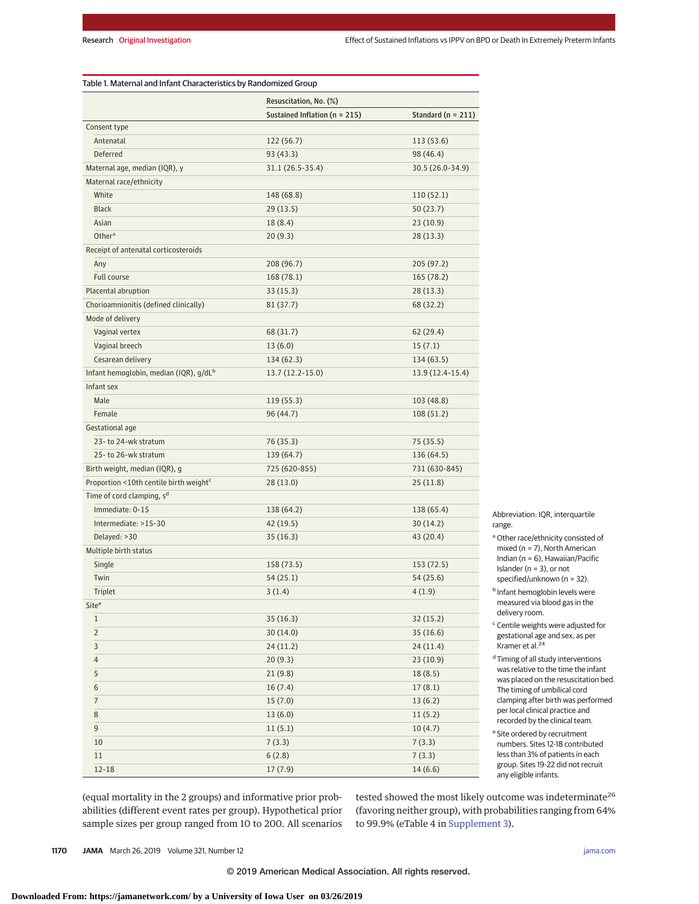| Table 1. Maternal and Infant Characteristics by Randomized Group |                                   |                      |  |  |  |
|------------------------------------------------------------------|-----------------------------------|----------------------|--|--|--|
|                                                                  | Resuscitation, No. (%)            |                      |  |  |  |
|                                                                  | Sustained Inflation ( $n = 215$ ) | Standard $(n = 211)$ |  |  |  |
| Consent type                                                     |                                   |                      |  |  |  |
| Antenatal                                                        | 122 (56.7)                        | 113 (53.6)           |  |  |  |
| Deferred                                                         | 93 (43.3)                         | 98 (46.4)            |  |  |  |
| Maternal age, median (IQR), y                                    | 31.1 (26.5-35.4)                  | 30.5 (26.0-34.9)     |  |  |  |
| Maternal race/ethnicity                                          |                                   |                      |  |  |  |
| White                                                            | 148 (68.8)                        | 110 (52.1)           |  |  |  |
| <b>Black</b>                                                     | 29(13.5)                          | 50 (23.7)            |  |  |  |
| Asian                                                            | 18 (8.4)                          | 23 (10.9)            |  |  |  |
| Other <sup>a</sup>                                               | 20(9.3)                           | 28 (13.3)            |  |  |  |
| Receipt of antenatal corticosteroids                             |                                   |                      |  |  |  |
| Any                                                              | 208 (96.7)                        | 205 (97.2)           |  |  |  |
| Full course                                                      | 168 (78.1)                        | 165 (78.2)           |  |  |  |
| Placental abruption                                              | 33(15.3)                          | 28 (13.3)            |  |  |  |
| Chorioamnionitis (defined clinically)                            | 81 (37.7)                         | 68 (32.2)            |  |  |  |
| Mode of delivery                                                 |                                   |                      |  |  |  |
| Vaginal vertex                                                   | 68 (31.7)                         | 62 (29.4)            |  |  |  |
| Vaginal breech                                                   | 13(6.0)                           | 15(7.1)              |  |  |  |
| Cesarean delivery                                                | 134(62.3)                         | 134 (63.5)           |  |  |  |
| Infant hemoglobin, median (IQR), g/dL <sup>b</sup>               | $13.7(12.2 - 15.0)$               | 13.9 (12.4-15.4)     |  |  |  |
| Infant sex                                                       |                                   |                      |  |  |  |
| Male                                                             | 119 (55.3)                        | 103 (48.8)           |  |  |  |
| Female                                                           | 96 (44.7)                         | 108 (51.2)           |  |  |  |
| Gestational age                                                  |                                   |                      |  |  |  |
| 23-to 24-wk stratum                                              | 76 (35.3)                         | 75 (35.5)            |  |  |  |
| 25-to 26-wk stratum                                              | 139 (64.7)                        | 136 (64.5)           |  |  |  |
| Birth weight, median (IQR), g                                    | 725 (620-855)                     | 731 (630-845)        |  |  |  |
| Proportion <10th centile birth weight <sup>c</sup>               | 28(13.0)                          | 25(11.8)             |  |  |  |
| Time of cord clamping, s <sup>d</sup>                            |                                   |                      |  |  |  |
| Immediate: 0-15                                                  | 138 (64.2)                        | 138 (65.4)           |  |  |  |
| Intermediate: >15-30                                             | 42 (19.5)                         | 30 (14.2)            |  |  |  |
| Delayed: >30                                                     | 35 (16.3)                         | 43 (20.4)            |  |  |  |
| Multiple birth status                                            |                                   |                      |  |  |  |
| Single                                                           | 158 (73.5)                        | 153 (72.5)           |  |  |  |
| Twin                                                             | 54 (25.1)                         | 54 (25.6)            |  |  |  |
| Triplet                                                          | 3(1.4)                            | 4(1.9)               |  |  |  |
| Site <sup>e</sup>                                                |                                   |                      |  |  |  |
| $\mathbf{1}$                                                     | 35(16.3)                          | 32(15.2)             |  |  |  |
| $\overline{2}$                                                   | 30(14.0)                          | 35(16.6)             |  |  |  |
| 3                                                                | 24(11.2)                          | 24(11.4)             |  |  |  |
| 4                                                                | 20(9.3)                           | 23(10.9)             |  |  |  |
| 5                                                                | 21(9.8)                           | 18(8.5)              |  |  |  |
| 6                                                                | 16(7.4)                           | 17(8.1)              |  |  |  |
| $\overline{7}$                                                   | 15(7.0)                           | 13(6.2)              |  |  |  |
| 8                                                                | 13(6.0)                           | 11(5.2)              |  |  |  |
| 9                                                                | 11(5.1)                           | 10(4.7)              |  |  |  |
| 10                                                               | 7(3.3)                            | 7(3.3)               |  |  |  |
| 11                                                               | 6(2.8)                            | 7(3.3)               |  |  |  |
| $12 - 18$                                                        | 17(7.9)                           | 14(6.6)              |  |  |  |

Abbreviation: IQR, interquartile range.

<sup>a</sup> Other race/ethnicity consisted of mixed (n = 7), North American Indian (n = 6), Hawaiian/Pacific Islander (n = 3), or not specified/unknown (n = 32).

**b** Infant hemoglobin levels were measured via blood gas in the delivery room.

 $\mathop{\text{c}}$  Centile weights were adjusted for gestational age and sex, as per Kramer et al.<sup>24</sup>

d Timing of all study interventions was relative to the time the infant was placed on the resuscitation bed. The timing of umbilical cord clamping after birth was performed per local clinical practice and recorded by the clinical team.

<sup>e</sup> Site ordered by recruitment numbers. Sites 12-18 contributed less than 3% of patients in each group. Sites 19-22 did not recruit any eligible infants.

(equal mortality in the 2 groups) and informative prior probabilities (different event rates per group). Hypothetical prior sample sizes per group ranged from 10 to 200. All scenarios tested showed the most likely outcome was indeterminate<sup>26</sup> (favoring neither group), with probabilities ranging from 64% to 99.9% (eTable 4 in [Supplement 3\)](https://jama.jamanetwork.com/article.aspx?doi=10.1001/jama.2019.1660&utm_campaign=articlePDF%26utm_medium=articlePDFlink%26utm_source=articlePDF%26utm_content=jama.2019.1660).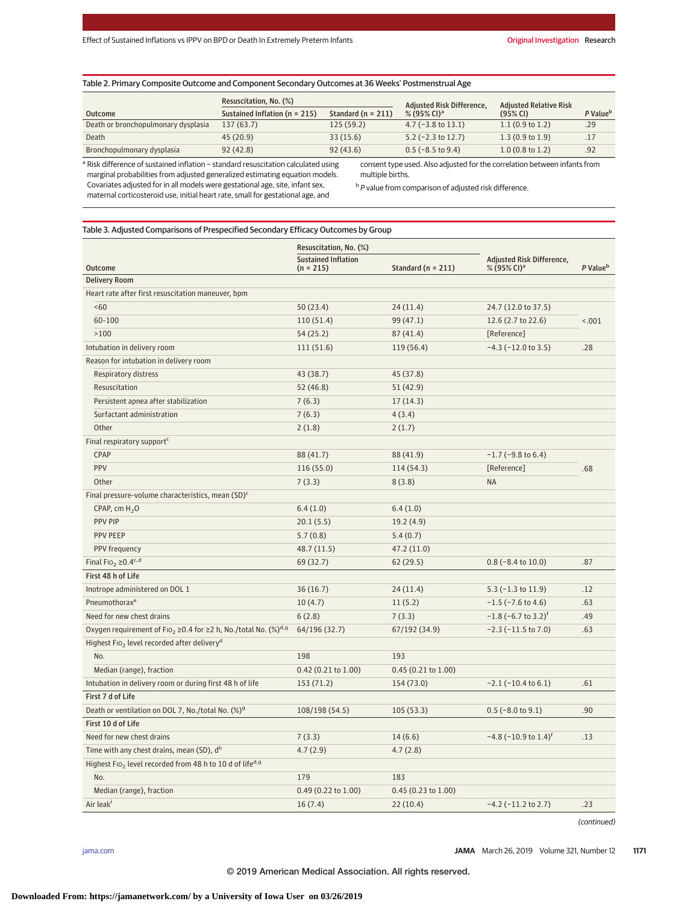# Table 2. Primary Composite Outcome and Component Secondary Outcomes at 36 Weeks' Postmenstrual Age

|                                     | Resuscitation, No. (%)            |                      | Adjusted Risk Difference, | <b>Adiusted Relative Risk</b> |                      |
|-------------------------------------|-----------------------------------|----------------------|---------------------------|-------------------------------|----------------------|
| <b>Outcome</b>                      | Sustained Inflation ( $n = 215$ ) | Standard $(n = 211)$ | % (95% CI) <sup>a</sup>   | $(95%$ CI)                    | P Value <sup>b</sup> |
| Death or bronchopulmonary dysplasia | 137(63.7)                         | 125(59.2)            | $4.7$ (-3.8 to 13.1)      | 1.1(0.9 to 1.2)               | .29                  |
| Death                               | 45(20.9)                          | 33(15.6)             | $5.2$ (-2.3 to 12.7)      | 1.3(0.9 to 1.9)               | .17                  |
| Bronchopulmonary dysplasia          | 92(42.8)                          | 92(43.6)             | $0.5$ (-8.5 to 9.4)       | $1.0(0.8 \text{ to } 1.2)$    | .92                  |

<sup>a</sup> Risk difference of sustained inflation − standard resuscitation calculated using marginal probabilities from adjusted generalized estimating equation models. Covariates adjusted for in all models were gestational age, site, infant sex, maternal corticosteroid use, initial heart rate, small for gestational age, and

consent type used. Also adjusted for the correlation between infants from multiple births.

**b** P value from comparison of adjusted risk difference.

# Table 3. Adjusted Comparisons of Prespecified Secondary Efficacy Outcomes by Group

|                                                                                                    | Resuscitation, No. (%)                    |                        |                                                      | P Value <sup>b</sup> |  |
|----------------------------------------------------------------------------------------------------|-------------------------------------------|------------------------|------------------------------------------------------|----------------------|--|
| <b>Outcome</b>                                                                                     | <b>Sustained Inflation</b><br>$(n = 215)$ | Standard ( $n = 211$ ) | Adjusted Risk Difference,<br>% (95% CI) <sup>a</sup> |                      |  |
| <b>Delivery Room</b>                                                                               |                                           |                        |                                                      |                      |  |
| Heart rate after first resuscitation maneuver, bpm                                                 |                                           |                        |                                                      |                      |  |
| <60                                                                                                | 50(23.4)                                  | 24(11.4)               | 24.7 (12.0 to 37.5)                                  |                      |  |
| 60-100                                                                                             | 110(51.4)                                 | 99 (47.1)              | 12.6 (2.7 to 22.6)                                   | < .001               |  |
| >100                                                                                               | 54(25.2)                                  | 87(41.4)               | [Reference]                                          |                      |  |
| Intubation in delivery room                                                                        | 111(51.6)                                 | 119 (56.4)             | $-4.3$ ( $-12.0$ to 3.5)                             | .28                  |  |
| Reason for intubation in delivery room                                                             |                                           |                        |                                                      |                      |  |
| Respiratory distress                                                                               | 43 (38.7)                                 | 45 (37.8)              |                                                      |                      |  |
| Resuscitation                                                                                      | 52(46.8)                                  | 51 (42.9)              |                                                      |                      |  |
| Persistent apnea after stabilization                                                               | 7(6.3)                                    | 17(14.3)               |                                                      |                      |  |
| Surfactant administration                                                                          | 7(6.3)                                    | 4(3.4)                 |                                                      |                      |  |
| Other                                                                                              | 2(1.8)                                    | 2(1.7)                 |                                                      |                      |  |
| Final respiratory support <sup>c</sup>                                                             |                                           |                        |                                                      |                      |  |
| CPAP                                                                                               | 88 (41.7)                                 | 88 (41.9)              | $-1.7$ ( $-9.8$ to 6.4)                              |                      |  |
| PPV                                                                                                | 116 (55.0)                                | 114 (54.3)             | [Reference]                                          | .68                  |  |
| Other                                                                                              | 7(3.3)                                    | 8(3.8)                 | <b>NA</b>                                            |                      |  |
| Final pressure-volume characteristics, mean (SD) <sup>c</sup>                                      |                                           |                        |                                                      |                      |  |
| CPAP, cm $H_2O$                                                                                    | 6.4(1.0)                                  | 6.4(1.0)               |                                                      |                      |  |
| <b>PPV PIP</b>                                                                                     | 20.1(5.5)                                 | 19.2(4.9)              |                                                      |                      |  |
| <b>PPV PEEP</b>                                                                                    | 5.7(0.8)                                  | 5.4(0.7)               |                                                      |                      |  |
| PPV frequency                                                                                      | 48.7 (11.5)                               | 47.2 (11.0)            |                                                      |                      |  |
| Final Fio <sub>2</sub> $\geq$ 0.4c,d                                                               | 69 (32.7)                                 | 62(29.5)               | $0.8$ (-8.4 to 10.0)                                 | .87                  |  |
| First 48 h of Life                                                                                 |                                           |                        |                                                      |                      |  |
| Inotrope administered on DOL 1                                                                     | 36(16.7)                                  | 24(11.4)               | $5.3$ ( $-1.3$ to $11.9$ )                           | .12                  |  |
| Pneumothorax <sup>e</sup>                                                                          | 10(4.7)                                   | 11(5.2)                | $-1.5$ ( $-7.6$ to 4.6)                              | .63                  |  |
| Need for new chest drains                                                                          | 6(2.8)                                    | 7(3.3)                 | $-1.8$ (-6.7 to 3.2) <sup>f</sup>                    | .49                  |  |
| Oxygen requirement of F10 <sub>2</sub> $\geq$ 0.4 for $\geq$ 2 h, No./total No. (%) <sup>d,g</sup> | 64/196 (32.7)                             | 67/192 (34.9)          | $-2.3$ ( $-11.5$ to 7.0)                             | .63                  |  |
| Highest FIO <sub>2</sub> level recorded after delivery <sup>d</sup>                                |                                           |                        |                                                      |                      |  |
| No.                                                                                                | 198                                       | 193                    |                                                      |                      |  |
| Median (range), fraction                                                                           | 0.42 (0.21 to 1.00)                       | $0.45$ (0.21 to 1.00)  |                                                      |                      |  |
| Intubation in delivery room or during first 48 h of life                                           | 153 (71.2)                                | 154 (73.0)             | $-2.1$ ( $-10.4$ to 6.1)                             | .61                  |  |
| First 7 d of Life                                                                                  |                                           |                        |                                                      |                      |  |
| Death or ventilation on DOL 7, No./total No. (%) <sup>9</sup>                                      | 108/198 (54.5)                            | 105(53.3)              | $0.5$ (-8.0 to 9.1)                                  | .90                  |  |
| First 10 d of Life                                                                                 |                                           |                        |                                                      |                      |  |
| Need for new chest drains                                                                          | 7(3.3)                                    | 14(6.6)                | $-4.8$ ( $-10.9$ to 1.4) <sup>f</sup>                | .13                  |  |
| Time with any chest drains, mean (SD), dh                                                          | 4.7(2.9)                                  | 4.7(2.8)               |                                                      |                      |  |
| Highest FIO <sub>2</sub> level recorded from 48 h to 10 d of life <sup>d, g</sup>                  |                                           |                        |                                                      |                      |  |
| No.                                                                                                | 179                                       | 183                    |                                                      |                      |  |
| Median (range), fraction                                                                           | 0.49 (0.22 to 1.00)                       | 0.45 (0.23 to 1.00)    |                                                      |                      |  |
| Air leak <sup>i</sup>                                                                              | 16(7.4)                                   | 22(10.4)               | $-4.2$ ( $-11.2$ to 2.7)                             | .23                  |  |

(continued)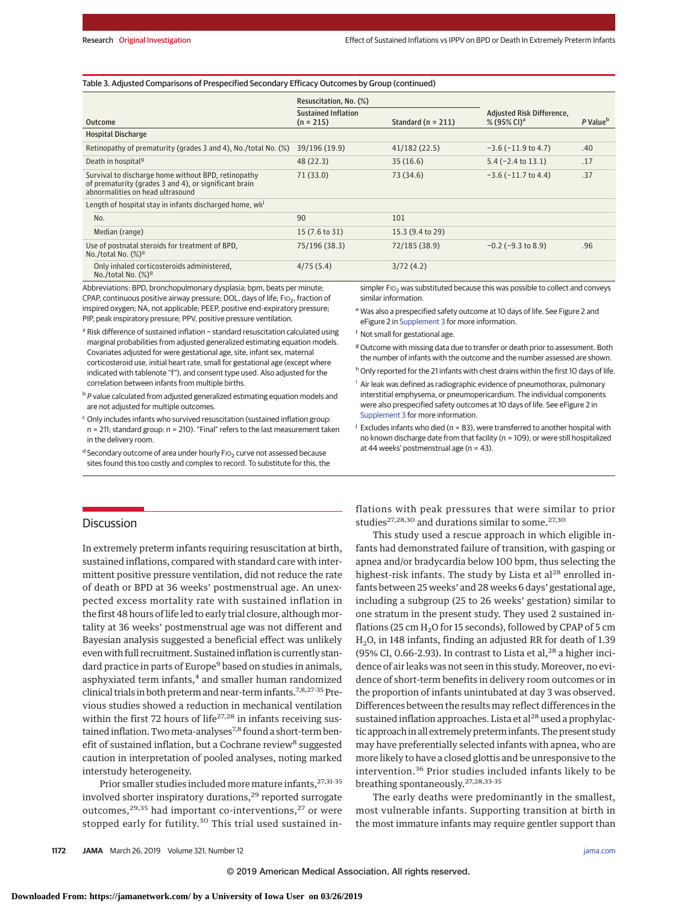## Table 3. Adjusted Comparisons of Prespecified Secondary Efficacy Outcomes by Group (continued)

|                                                                                                                                                  | Resuscitation, No. (%)                    |                        |                                                      |                      |  |
|--------------------------------------------------------------------------------------------------------------------------------------------------|-------------------------------------------|------------------------|------------------------------------------------------|----------------------|--|
| Outcome                                                                                                                                          | <b>Sustained Inflation</b><br>$(n = 215)$ | Standard ( $n = 211$ ) | Adjusted Risk Difference,<br>% (95% CI) <sup>a</sup> | P Value <sup>b</sup> |  |
| <b>Hospital Discharge</b>                                                                                                                        |                                           |                        |                                                      |                      |  |
| Retinopathy of prematurity (grades 3 and 4), No./total No. (%)                                                                                   | 39/196 (19.9)                             | 41/182(22.5)           | $-3.6$ ( $-11.9$ to 4.7)                             | .40                  |  |
| Death in hospital <sup>9</sup>                                                                                                                   | 48(22.3)                                  | 35(16.6)               | $5.4$ (-2.4 to 13.1)                                 | .17                  |  |
| Survival to discharge home without BPD, retinopathy<br>of prematurity (grades 3 and 4), or significant brain<br>abnormalities on head ultrasound | 71(33.0)                                  | 73 (34.6)              | $-3.6$ ( $-11.7$ to 4.4)                             | .37                  |  |
| Length of hospital stay in infants discharged home, wk <sup>j</sup>                                                                              |                                           |                        |                                                      |                      |  |
| No.                                                                                                                                              | 90                                        | 101                    |                                                      |                      |  |
| Median (range)                                                                                                                                   | 15 (7.6 to 31)                            | 15.3 (9.4 to 29)       |                                                      |                      |  |
| Use of postnatal steroids for treatment of BPD,<br>No./total No. $(\%)^g$                                                                        | 75/196 (38.3)                             | 72/185 (38.9)          | $-0.2$ ( $-9.3$ to 8.9)                              | .96                  |  |
| Only inhaled corticosteroids administered,<br>No./total No. $(%)g$                                                                               | 4/75(5.4)                                 | 3/72(4.2)              |                                                      |                      |  |

Abbreviations: BPD, bronchopulmonary dysplasia; bpm, beats per minute; CPAP, continuous positive airway pressure; DOL, days of life;  $FIO<sub>2</sub>$ , fraction of inspired oxygen; NA, not applicable; PEEP, positive end-expiratory pressure; PIP, peak inspiratory pressure; PPV, positive pressure ventilation.

<sup>a</sup> Risk difference of sustained inflation − standard resuscitation calculated using marginal probabilities from adjusted generalized estimating equation models. Covariates adjusted for were gestational age, site, infant sex, maternal corticosteroid use, initial heart rate, small for gestational age (except where indicated with tablenote "f"), and consent type used. Also adjusted for the correlation between infants from multiple births.

 $b$  P value calculated from adjusted generalized estimating equation models and are not adjusted for multiple outcomes.

<sup>c</sup> Only includes infants who survived resuscitation (sustained inflation group: n = 211; standard group: n = 210). "Final" refers to the last measurement taken in the delivery room.

 $^{\text{d}}$  Secondary outcome of area under hourly FIO<sub>2</sub> curve not assessed because sites found this too costly and complex to record. To substitute for this, the simpler FIO<sub>2</sub> was substituted because this was possible to collect and conveys similar information.

<sup>e</sup> Was also a prespecified safety outcome at 10 days of life. See Figure 2 and eFigure 2 in [Supplement 3](https://jama.jamanetwork.com/article.aspx?doi=10.1001/jama.2019.1660&utm_campaign=articlePDF%26utm_medium=articlePDFlink%26utm_source=articlePDF%26utm_content=jama.2019.1660) for more information.

<sup>f</sup> Not small for gestational age.

 $8$  Outcome with missing data due to transfer or death prior to assessment. Both the number of infants with the outcome and the number assessed are shown.

<sup>h</sup> Only reported for the 21 infants with chest drains within the first 10 days of life.

<sup>i</sup> Air leak was defined as radiographic evidence of pneumothorax, pulmonary interstitial emphysema, or pneumopericardium. The individual components were also prespecified safety outcomes at 10 days of life. See eFigure 2 in [Supplement 3](https://jama.jamanetwork.com/article.aspx?doi=10.1001/jama.2019.1660&utm_campaign=articlePDF%26utm_medium=articlePDFlink%26utm_source=articlePDF%26utm_content=jama.2019.1660) for more information.

 $j$  Excludes infants who died (n = 83), were transferred to another hospital with no known discharge date from that facility (n = 109), or were still hospitalized at 44 weeks' postmenstrual age (n = 43).

# **Discussion**

In extremely preterm infants requiring resuscitation at birth, sustained inflations, compared with standard care with intermittent positive pressure ventilation, did not reduce the rate of death or BPD at 36 weeks' postmenstrual age. An unexpected excess mortality rate with sustained inflation in the first 48 hours of life led to early trial closure, althoughmortality at 36 weeks' postmenstrual age was not different and Bayesian analysis suggested a beneficial effect was unlikely even with full recruitment. Sustained inflation is currently standard practice in parts of Europe<sup>9</sup> based on studies in animals, asphyxiated term infants,<sup>4</sup> and smaller human randomized clinical trials in both preterm and near-term infants.<sup>7,8,27-35</sup> Previous studies showed a reduction in mechanical ventilation within the first 72 hours of life $27,28$  in infants receiving sustained inflation. Two meta-analyses<sup>7,8</sup> found a short-term benefit of sustained inflation, but a Cochrane review<sup>8</sup> suggested caution in interpretation of pooled analyses, noting marked interstudy heterogeneity.

Prior smaller studies included more mature infants, <sup>27,31-35</sup> involved shorter inspiratory durations,<sup>29</sup> reported surrogate outcomes, $29,35$  had important co-interventions, $27$  or were stopped early for futility.<sup>30</sup> This trial used sustained inflations with peak pressures that were similar to prior studies<sup>27,28,30</sup> and durations similar to some.<sup>27,30</sup>

This study used a rescue approach in which eligible infants had demonstrated failure of transition, with gasping or apnea and/or bradycardia below 100 bpm, thus selecting the highest-risk infants. The study by Lista et al<sup>28</sup> enrolled infants between 25 weeks' and 28 weeks 6 days' gestational age, including a subgroup (25 to 26 weeks' gestation) similar to one stratum in the present study. They used 2 sustained inflations (25 cm  $H_2O$  for 15 seconds), followed by CPAP of 5 cm H2O, in 148 infants, finding an adjusted RR for death of 1.39 (95% CI, 0.66-2.93). In contrast to Lista et al, $^{28}$  a higher incidence of air leaks was not seen in this study. Moreover, no evidence of short-term benefits in delivery room outcomes or in the proportion of infants unintubated at day 3 was observed. Differences between the results may reflect differences in the sustained inflation approaches. Lista et al<sup>28</sup> used a prophylactic approach in all extremely preterm infants. The present study may have preferentially selected infants with apnea, who are more likely to have a closed glottis and be unresponsive to the intervention.<sup>36</sup> Prior studies included infants likely to be breathing spontaneously.27,28,33-35

The early deaths were predominantly in the smallest, most vulnerable infants. Supporting transition at birth in the most immature infants may require gentler support than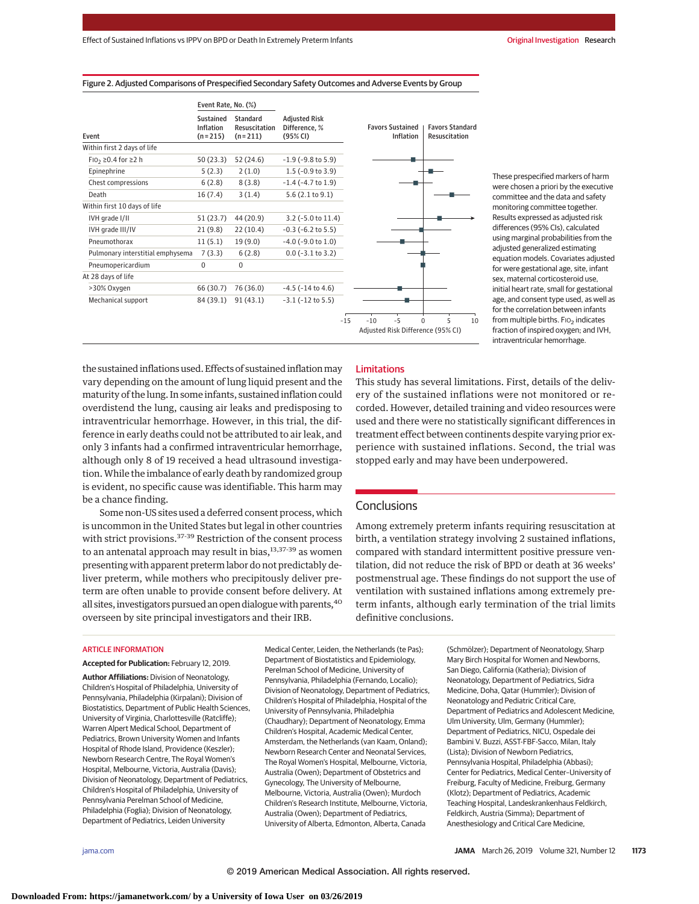|                                  | Event Rate, No. (%)<br>Sustained<br>Standard<br>Inflation<br>Resuscitation<br>$(n=215)$<br>$(n=211)$ |             | <b>Adjusted Risk</b><br>Difference, %<br>(95% CI) |       |                                      |      |  |                                               |   |    |
|----------------------------------|------------------------------------------------------------------------------------------------------|-------------|---------------------------------------------------|-------|--------------------------------------|------|--|-----------------------------------------------|---|----|
| Event                            |                                                                                                      |             |                                                   |       | <b>Favors Sustained</b><br>Inflation |      |  | <b>Favors Standard</b><br>Resuscitation       |   |    |
| Within first 2 days of life      |                                                                                                      |             |                                                   |       |                                      |      |  |                                               |   |    |
| FI0 <sub>2</sub> ≥0.4 for ≥2 h   | 50(23.3)                                                                                             | 52 (24.6)   | $-1.9$ ( $-9.8$ to 5.9)                           |       |                                      |      |  |                                               |   |    |
| Epinephrine                      | 5(2.3)                                                                                               | 2(1.0)      | $1.5$ (-0.9 to 3.9)                               |       |                                      |      |  |                                               |   |    |
| Chest compressions               | 6(2.8)                                                                                               | 8(3.8)      | $-1.4$ ( $-4.7$ to 1.9)                           |       |                                      |      |  |                                               |   |    |
| Death                            | 16(7.4)                                                                                              | 3(1.4)      | 5.6(2.1 to 9.1)                                   |       |                                      |      |  |                                               |   |    |
| Within first 10 days of life     |                                                                                                      |             |                                                   |       |                                      |      |  |                                               |   |    |
| IVH grade I/II                   | 51(23.7)                                                                                             | 44 (20.9)   | $3.2$ (-5.0 to 11.4)                              |       |                                      |      |  |                                               |   |    |
| IVH grade III/IV                 | 21(9.8)                                                                                              | 22(10.4)    | $-0.3$ ( $-6.2$ to 5.5)                           |       |                                      |      |  |                                               |   |    |
| Pneumothorax                     | 11(5.1)                                                                                              | 19(9.0)     | $-4.0$ ( $-9.0$ to 1.0)                           |       |                                      |      |  |                                               |   |    |
| Pulmonary interstitial emphysema | 7(3.3)                                                                                               | 6(2.8)      | $0.0$ (-3.1 to 3.2)                               |       |                                      |      |  |                                               |   |    |
| Pneumopericardium                | $\mathbf 0$                                                                                          | $\mathbf 0$ |                                                   |       |                                      |      |  |                                               |   |    |
| At 28 days of life               |                                                                                                      |             |                                                   |       |                                      |      |  |                                               |   |    |
| >30% Oxygen                      | 66 (30.7)                                                                                            | 76 (36.0)   | $-4.5$ ( $-14$ to $4.6$ )                         |       |                                      |      |  |                                               |   |    |
| Mechanical support               | 84 (39.1)                                                                                            | 91(43.1)    | $-3.1$ ( $-12$ to 5.5)                            |       |                                      |      |  |                                               |   |    |
|                                  |                                                                                                      |             |                                                   | $-15$ | $-10$                                | $-5$ |  | $\Omega$<br>Adjusted Risk Difference (95% CI) | 5 | 10 |

Figure 2. Adjusted Comparisons of Prespecified Secondary Safety Outcomes and Adverse Events by Group

These prespecified markers of harm were chosen a priori by the executive committee and the data and safety monitoring committee together. Results expressed as adjusted risk differences (95% CIs), calculated using marginal probabilities from the adjusted generalized estimating equation models. Covariates adjusted for were gestational age, site, infant sex, maternal corticosteroid use, initial heart rate, small for gestational age, and consent type used, as well as for the correlation between infants from multiple births. FIO<sub>2</sub> indicates fraction of inspired oxygen; and IVH, intraventricular hemorrhage.

the sustained inflations used. Effects of sustained inflation may vary depending on the amount of lung liquid present and the maturity of the lung. In some infants, sustained inflation could overdistend the lung, causing air leaks and predisposing to intraventricular hemorrhage. However, in this trial, the difference in early deaths could not be attributed to air leak, and only 3 infants had a confirmed intraventricular hemorrhage, although only 8 of 19 received a head ultrasound investigation.While the imbalance of early death by randomized group is evident, no specific cause was identifiable. This harm may be a chance finding.

Some non-US sites used a deferred consent process, which is uncommon in the United States but legal in other countries with strict provisions.<sup>37-39</sup> Restriction of the consent process to an antenatal approach may result in bias, 13,37-39 as women presenting with apparent preterm labor do not predictably deliver preterm, while mothers who precipitously deliver preterm are often unable to provide consent before delivery. At all sites, investigators pursued an open dialogue with parents,  $40$ overseen by site principal investigators and their IRB.

## Limitations

This study has several limitations. First, details of the delivery of the sustained inflations were not monitored or recorded. However, detailed training and video resources were used and there were no statistically significant differences in treatment effect between continents despite varying prior experience with sustained inflations. Second, the trial was stopped early and may have been underpowered.

# Conclusions

Among extremely preterm infants requiring resuscitation at birth, a ventilation strategy involving 2 sustained inflations, compared with standard intermittent positive pressure ventilation, did not reduce the risk of BPD or death at 36 weeks' postmenstrual age. These findings do not support the use of ventilation with sustained inflations among extremely preterm infants, although early termination of the trial limits definitive conclusions.

#### ARTICLE INFORMATION

**Accepted for Publication:** February 12, 2019. **Author Affiliations:** Division of Neonatology, Children's Hospital of Philadelphia, University of Pennsylvania, Philadelphia (Kirpalani); Division of Biostatistics, Department of Public Health Sciences, University of Virginia, Charlottesville (Ratcliffe); Warren Alpert Medical School, Department of Pediatrics, Brown University Women and Infants Hospital of Rhode Island, Providence (Keszler); Newborn Research Centre, The Royal Women's Hospital, Melbourne, Victoria, Australia (Davis); Division of Neonatology, Department of Pediatrics, Children's Hospital of Philadelphia, University of Pennsylvania Perelman School of Medicine, Philadelphia (Foglia); Division of Neonatology, Department of Pediatrics, Leiden University

Medical Center, Leiden, the Netherlands (te Pas); Department of Biostatistics and Epidemiology, Perelman School of Medicine, University of Pennsylvania, Philadelphia (Fernando, Localio); Division of Neonatology, Department of Pediatrics, Children's Hospital of Philadelphia, Hospital of the University of Pennsylvania, Philadelphia (Chaudhary); Department of Neonatology, Emma Children's Hospital, Academic Medical Center, Amsterdam, the Netherlands (van Kaam, Onland); Newborn Research Center and Neonatal Services, The Royal Women's Hospital, Melbourne, Victoria, Australia (Owen); Department of Obstetrics and Gynecology, The University of Melbourne, Melbourne, Victoria, Australia (Owen); Murdoch Children's Research Institute, Melbourne, Victoria, Australia (Owen); Department of Pediatrics, University of Alberta, Edmonton, Alberta, Canada

(Schmölzer); Department of Neonatology, Sharp Mary Birch Hospital for Women and Newborns, San Diego, California (Katheria); Division of Neonatology, Department of Pediatrics, Sidra Medicine, Doha, Qatar (Hummler); Division of Neonatology and Pediatric Critical Care, Department of Pediatrics and Adolescent Medicine, Ulm University, Ulm, Germany (Hummler); Department of Pediatrics, NICU, Ospedale dei Bambini V. Buzzi, ASST-FBF-Sacco, Milan, Italy (Lista); Division of Newborn Pediatrics, Pennsylvania Hospital, Philadelphia (Abbasi); Center for Pediatrics, Medical Center–University of Freiburg, Faculty of Medicine, Freiburg, Germany (Klotz); Department of Pediatrics, Academic Teaching Hospital, Landeskrankenhaus Feldkirch, Feldkirch, Austria (Simma); Department of Anesthesiology and Critical Care Medicine,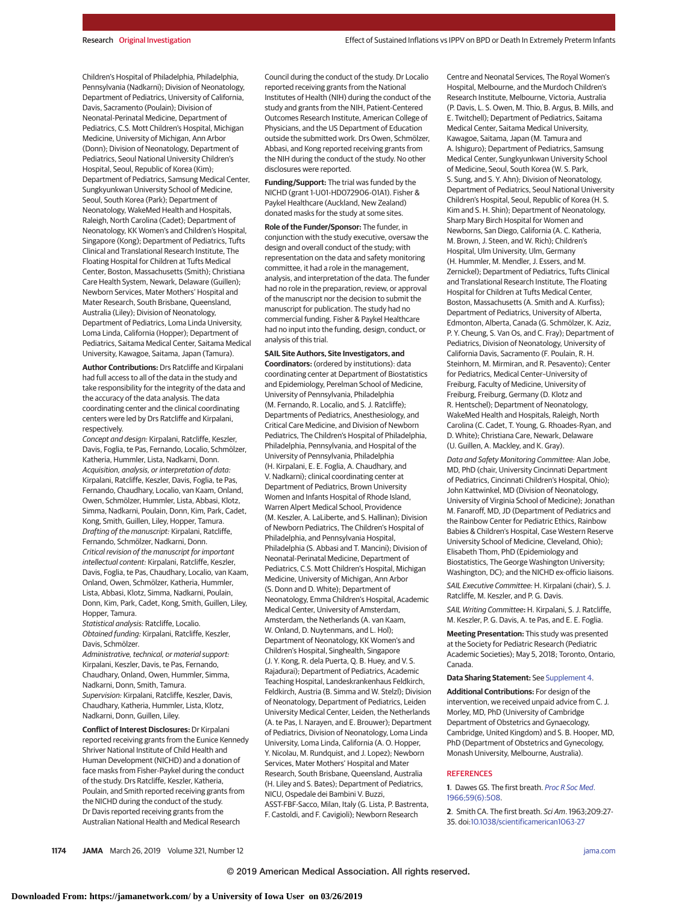Children's Hospital of Philadelphia, Philadelphia, Pennsylvania (Nadkarni); Division of Neonatology, Department of Pediatrics, University of California, Davis, Sacramento (Poulain); Division of Neonatal-Perinatal Medicine, Department of Pediatrics, C.S. Mott Children's Hospital, Michigan Medicine, University of Michigan, Ann Arbor (Donn); Division of Neonatology, Department of Pediatrics, Seoul National University Children's Hospital, Seoul, Republic of Korea (Kim); Department of Pediatrics, Samsung Medical Center, Sungkyunkwan University School of Medicine, Seoul, South Korea (Park); Department of Neonatology, WakeMed Health and Hospitals, Raleigh, North Carolina (Cadet); Department of Neonatology, KK Women's and Children's Hospital, Singapore (Kong); Department of Pediatrics, Tufts Clinical and Translational Research Institute, The Floating Hospital for Children at Tufts Medical Center, Boston, Massachusetts (Smith); Christiana Care Health System, Newark, Delaware (Guillen); Newborn Services, Mater Mothers' Hospital and Mater Research, South Brisbane, Queensland, Australia (Liley); Division of Neonatology, Department of Pediatrics, Loma Linda University, Loma Linda, California (Hopper); Department of Pediatrics, Saitama Medical Center, Saitama Medical University, Kawagoe, Saitama, Japan (Tamura).

**Author Contributions:** Drs Ratcliffe and Kirpalani had full access to all of the data in the study and take responsibility for the integrity of the data and the accuracy of the data analysis. The data coordinating center and the clinical coordinating centers were led by Drs Ratcliffe and Kirpalani, respectively.

Concept and design: Kirpalani, Ratcliffe, Keszler, Davis, Foglia, te Pas, Fernando, Localio, Schmölzer, Katheria, Hummler, Lista, Nadkarni, Donn. Acquisition, analysis, or interpretation of data: Kirpalani, Ratcliffe, Keszler, Davis, Foglia, te Pas, Fernando, Chaudhary, Localio, van Kaam, Onland, Owen, Schmölzer, Hummler, Lista, Abbasi, Klotz, Simma, Nadkarni, Poulain, Donn, Kim, Park, Cadet, Kong, Smith, Guillen, Liley, Hopper, Tamura. Drafting of the manuscript: Kirpalani, Ratcliffe, Fernando, Schmölzer, Nadkarni, Donn. Critical revision of the manuscript for important intellectual content: Kirpalani, Ratcliffe, Keszler, Davis, Foglia, te Pas, Chaudhary, Localio, van Kaam, Onland, Owen, Schmölzer, Katheria, Hummler, Lista, Abbasi, Klotz, Simma, Nadkarni, Poulain, Donn, Kim, Park, Cadet, Kong, Smith, Guillen, Liley, Hopper, Tamura.

Statistical analysis: Ratcliffe, Localio. Obtained funding: Kirpalani, Ratcliffe, Keszler, Davis, Schmölzer.

Administrative, technical, or material support: Kirpalani, Keszler, Davis, te Pas, Fernando, Chaudhary, Onland, Owen, Hummler, Simma, Nadkarni, Donn, Smith, Tamura. Supervision: Kirpalani, Ratcliffe, Keszler, Davis, Chaudhary, Katheria, Hummler, Lista, Klotz, Nadkarni, Donn, Guillen, Liley.

**Conflict of Interest Disclosures:** Dr Kirpalani reported receiving grants from the Eunice Kennedy Shriver National Institute of Child Health and Human Development (NICHD) and a donation of face masks from Fisher-Paykel during the conduct of the study. Drs Ratcliffe, Keszler, Katheria, Poulain, and Smith reported receiving grants from the NICHD during the conduct of the study. Dr Davis reported receiving grants from the Australian National Health and Medical Research

Council during the conduct of the study. Dr Localio reported receiving grants from the National Institutes of Health (NIH) during the conduct of the study and grants from the NIH, Patient-Centered Outcomes Research Institute, American College of Physicians, and the US Department of Education outside the submitted work. Drs Owen, Schmölzer, Abbasi, and Kong reported receiving grants from the NIH during the conduct of the study. No other disclosures were reported.

**Funding/Support:** The trial was funded by the NICHD (grant 1-U01-HD072906-01A1). Fisher & Paykel Healthcare (Auckland, New Zealand) donated masks for the study at some sites.

**Role of the Funder/Sponsor:** The funder, in conjunction with the study executive, oversaw the design and overall conduct of the study; with representation on the data and safety monitoring committee, it had a role in the management, analysis, and interpretation of the data. The funder had no role in the preparation, review, or approval of the manuscript nor the decision to submit the manuscript for publication. The study had no commercial funding. Fisher & Paykel Healthcare had no input into the funding, design, conduct, or analysis of this trial.

**SAIL Site Authors, Site Investigators, and Coordinators:** (ordered by institutions): data coordinating center at Department of Biostatistics and Epidemiology, Perelman School of Medicine, University of Pennsylvania, Philadelphia (M. Fernando, R. Localio, and S. J. Ratcliffe); Departments of Pediatrics, Anesthesiology, and Critical Care Medicine, and Division of Newborn Pediatrics, The Children's Hospital of Philadelphia, Philadelphia, Pennsylvania, and Hospital of the University of Pennsylvania, Philadelphia (H. Kirpalani, E. E. Foglia, A. Chaudhary, and V. Nadkarni); clinical coordinating center at Department of Pediatrics, Brown University Women and Infants Hospital of Rhode Island, Warren Alpert Medical School, Providence (M. Keszler, A. LaLiberte, and S. Hallinan); Division of Newborn Pediatrics, The Children's Hospital of Philadelphia, and Pennsylvania Hospital, Philadelphia (S. Abbasi and T. Mancini); Division of Neonatal-Perinatal Medicine, Department of Pediatrics, C.S. Mott Children's Hospital, Michigan Medicine, University of Michigan, Ann Arbor (S. Donn and D. White); Department of Neonatology, Emma Children's Hospital, Academic Medical Center, University of Amsterdam, Amsterdam, the Netherlands (A. van Kaam, W. Onland, D. Nuytenmans, and L. Hol); Department of Neonatology, KK Women's and Children's Hospital, Singhealth, Singapore (J. Y. Kong, R. dela Puerta, Q. B. Huey, and V. S. Rajadurai); Department of Pediatrics, Academic Teaching Hospital, Landeskrankenhaus Feldkirch, Feldkirch, Austria (B. Simma and W. Stelzl); Division of Neonatology, Department of Pediatrics, Leiden University Medical Center, Leiden, the Netherlands (A. te Pas, I. Narayen, and E. Brouwer); Department of Pediatrics, Division of Neonatology, Loma Linda University, Loma Linda, California (A. O. Hopper, Y. Nicolau, M. Rundquist, and J. Lopez); Newborn Services, Mater Mothers' Hospital and Mater Research, South Brisbane, Queensland, Australia (H. Liley and S. Bates); Department of Pediatrics, NICU, Ospedale dei Bambini V. Buzzi, ASST-FBF-Sacco, Milan, Italy (G. Lista, P. Bastrenta, F. Castoldi, and F. Cavigioli); Newborn Research

Centre and Neonatal Services, The Royal Women's Hospital, Melbourne, and the Murdoch Children's Research Institute, Melbourne, Victoria, Australia (P. Davis, L. S. Owen, M. Thio, B. Argus, B. Mills, and E. Twitchell); Department of Pediatrics, Saitama Medical Center, Saitama Medical University, Kawagoe, Saitama, Japan (M. Tamura and A. Ishiguro); Department of Pediatrics, Samsung Medical Center, Sungkyunkwan University School of Medicine, Seoul, South Korea (W. S. Park, S. Sung, and S. Y. Ahn); Division of Neonatology, Department of Pediatrics, Seoul National University Children's Hospital, Seoul, Republic of Korea (H. S. Kim and S. H. Shin); Department of Neonatology, Sharp Mary Birch Hospital for Women and Newborns, San Diego, California (A. C. Katheria, M. Brown, J. Steen, and W. Rich); Children's Hospital, Ulm University, Ulm, Germany (H. Hummler, M. Mendler, J. Essers, and M. Zernickel); Department of Pediatrics, Tufts Clinical and Translational Research Institute, The Floating Hospital for Children at Tufts Medical Center, Boston, Massachusetts (A. Smith and A. Kurfiss); Department of Pediatrics, University of Alberta, Edmonton, Alberta, Canada (G. Schmölzer, K. Aziz, P. Y. Cheung, S. Van Os, and C. Fray); Department of Pediatrics, Division of Neonatology, University of California Davis, Sacramento (F. Poulain, R. H. Steinhorn, M. Mirmiran, and R. Pesavento); Center for Pediatrics, Medical Center–University of Freiburg, Faculty of Medicine, University of Freiburg, Freiburg, Germany (D. Klotz and R. Hentschel); Department of Neonatology, WakeMed Health and Hospitals, Raleigh, North Carolina (C. Cadet, T. Young, G. Rhoades-Ryan, and D. White); Christiana Care, Newark, Delaware (U. Guillen, A. Mackley, and K. Gray).

Data and Safety Monitoring Committee: Alan Jobe, MD, PhD (chair, University Cincinnati Department of Pediatrics, Cincinnati Children's Hospital, Ohio); John Kattwinkel, MD (Division of Neonatology, University of Virginia School of Medicine); Jonathan M. Fanaroff, MD, JD (Department of Pediatrics and the Rainbow Center for Pediatric Ethics, Rainbow Babies & Children's Hospital, Case Western Reserve University School of Medicine, Cleveland, Ohio); Elisabeth Thom, PhD (Epidemiology and Biostatistics, The George Washington University; Washington, DC); and the NICHD ex-officio liaisons.

SAIL Executive Committee: H. Kirpalani (chair), S. J. Ratcliffe, M. Keszler, and P. G. Davis.

SAIL Writing Committee**:** H. Kirpalani, S. J. Ratcliffe, M. Keszler, P. G. Davis, A. te Pas, and E. E. Foglia.

**Meeting Presentation:** This study was presented at the Society for Pediatric Research (Pediatric Academic Societies); May 5, 2018; Toronto, Ontario, Canada.

#### **Data Sharing Statement:** See [Supplement 4.](https://jama.jamanetwork.com/article.aspx?doi=10.1001/jama.2019.1660&utm_campaign=articlePDF%26utm_medium=articlePDFlink%26utm_source=articlePDF%26utm_content=jama.2019.1660)

**Additional Contributions:** For design of the intervention, we received unpaid advice from C. J. Morley, MD, PhD (University of Cambridge Department of Obstetrics and Gynaecology, Cambridge, United Kingdom) and S. B. Hooper, MD, PhD (Department of Obstetrics and Gynecology, Monash University, Melbourne, Australia).

#### **REFERENCES**

**1**. Dawes GS. The first breath. [Proc R Soc Med](https://www.ncbi.nlm.nih.gov/pubmed/5949299). [1966;59\(6\):508.](https://www.ncbi.nlm.nih.gov/pubmed/5949299)

**2**. Smith CA. The first breath. Sci Am. 1963;209:27- 35. doi[:10.1038/scientificamerican1063-27](https://dx.doi.org/10.1038/scientificamerican1063-27)